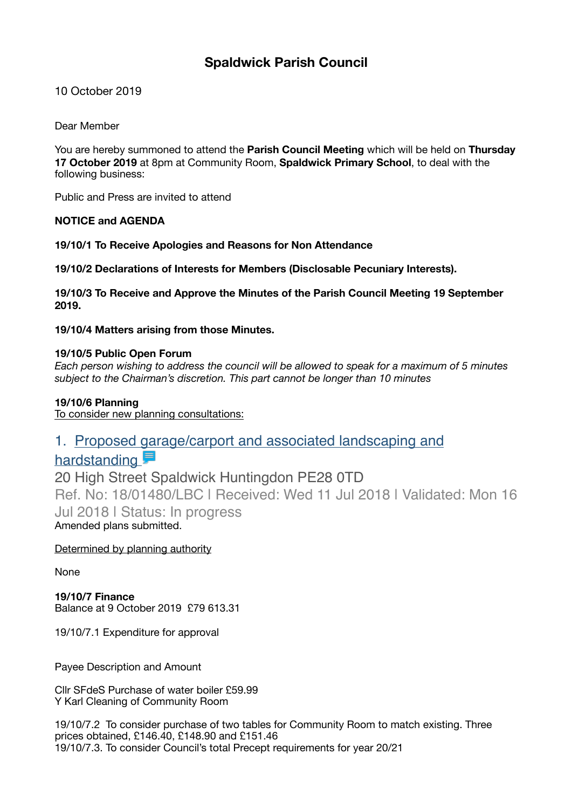# **Spaldwick Parish Council**

10 October 2019

Dear Member

You are hereby summoned to attend the **Parish Council Meeting** which will be held on **Thursday 17 October 2019** at 8pm at Community Room, **Spaldwick Primary School**, to deal with the following business:

Public and Press are invited to attend

# **NOTICE and AGENDA**

**19/10/1 To Receive Apologies and Reasons for Non Attendance** 

**19/10/2 Declarations of Interests for Members (Disclosable Pecuniary Interests).** 

**19/10/3 To Receive and Approve the Minutes of the Parish Council Meeting 19 September 2019.** 

**19/10/4 Matters arising from those Minutes.** 

## **19/10/5 Public Open Forum**

*Each person wishing to address the council will be allowed to speak for a maximum of 5 minutes subject to the Chairman's discretion. This part cannot be longer than 10 minutes* 

## **19/10/6 Planning**

To consider new planning consultations:

# [1. Proposed garage/carport and associated landscaping and](https://publicaccess.huntingdonshire.gov.uk/online-applications/applicationDetails.do?keyVal=PBPM57IKN2N00&activeTab=summary)

# hardstanding

20 High Street Spaldwick Huntingdon PE28 0TD Ref. No: 18/01480/LBC | Received: Wed 11 Jul 2018 | Validated: Mon 16 Jul 2018 | Status: In progress Amended plans submitted.

Determined by planning authority

None

**19/10/7 Finance**  Balance at 9 October 2019 £79 613.31

19/10/7.1 Expenditure for approval

Payee Description and Amount

Cllr SFdeS Purchase of water boiler £59.99 Y Karl Cleaning of Community Room

19/10/7.2 To consider purchase of two tables for Community Room to match existing. Three prices obtained, £146.40, £148.90 and £151.46 19/10/7.3. To consider Council's total Precept requirements for year 20/21